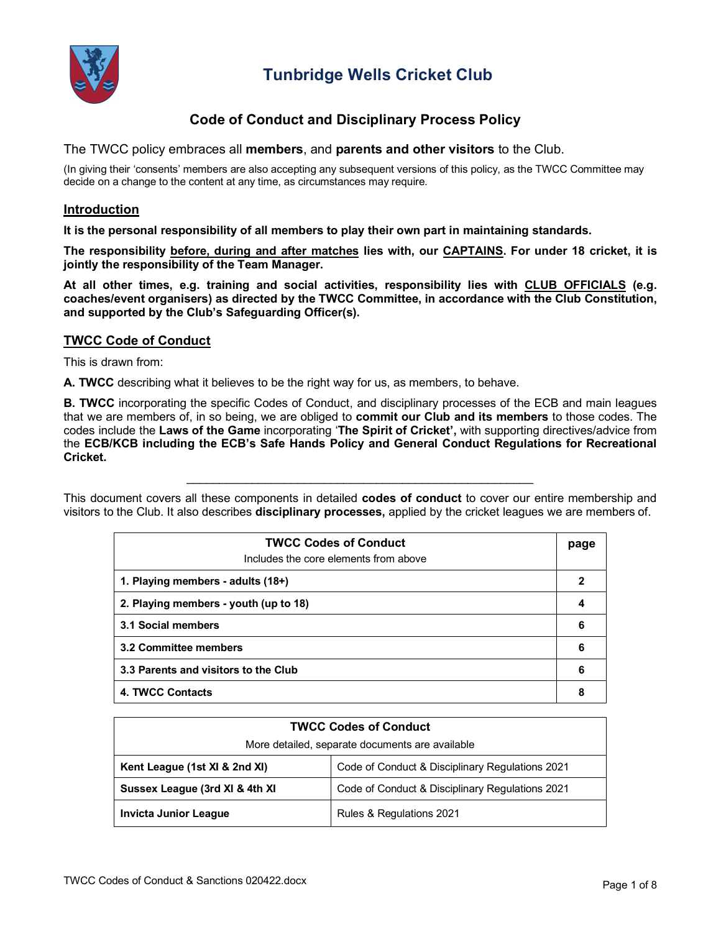

## **Code of Conduct and Disciplinary Process Policy**

The TWCC policy embraces all **members**, and **parents and other visitors** to the Club.

(In giving their 'consents' members are also accepting any subsequent versions of this policy, as the TWCC Committee may decide on a change to the content at any time, as circumstances may require.

#### **Introduction**

**It is the personal responsibility of all members to play their own part in maintaining standards.**

**The responsibility before, during and after matches lies with, our CAPTAINS. For under 18 cricket, it is jointly the responsibility of the Team Manager.**

**At all other times, e.g. training and social activities, responsibility lies with CLUB OFFICIALS (e.g. coaches/event organisers) as directed by the TWCC Committee, in accordance with the Club Constitution, and supported by the Club's Safeguarding Officer(s).**

#### **TWCC Code of Conduct**

This is drawn from:

**A. TWCC** describing what it believes to be the right way for us, as members, to behave.

**B. TWCC** incorporating the specific Codes of Conduct, and disciplinary processes of the ECB and main leagues that we are members of, in so being, we are obliged to **commit our Club and its members** to those codes. The codes include the **Laws of the Game** incorporating '**The Spirit of Cricket',** with supporting directives/advice from the **ECB/KCB including the ECB's Safe Hands Policy and General Conduct Regulations for Recreational Cricket.**

This document covers all these components in detailed **codes of conduct** to cover our entire membership and visitors to the Club. It also describes **disciplinary processes,** applied by the cricket leagues we are members of.

\_\_\_\_\_\_\_\_\_\_\_\_\_\_\_\_\_\_\_\_\_\_\_\_\_\_\_\_\_\_\_\_\_\_\_\_\_\_\_\_\_\_\_\_\_\_\_\_\_\_\_\_\_

| <b>TWCC Codes of Conduct</b><br>Includes the core elements from above | page |
|-----------------------------------------------------------------------|------|
| 1. Playing members - adults (18+)                                     | 2    |
| 2. Playing members - youth (up to 18)                                 | 4    |
| 3.1 Social members                                                    | 6    |
| 3.2 Committee members                                                 |      |
| 3.3 Parents and visitors to the Club                                  |      |
| 4. TWCC Contacts                                                      | 8    |

| <b>TWCC Codes of Conduct</b>                    |                                                 |  |  |  |
|-------------------------------------------------|-------------------------------------------------|--|--|--|
| More detailed, separate documents are available |                                                 |  |  |  |
| Kent League (1st XI & 2nd XI)                   | Code of Conduct & Disciplinary Regulations 2021 |  |  |  |
| Sussex League (3rd XI & 4th XI                  | Code of Conduct & Disciplinary Regulations 2021 |  |  |  |
| <b>Invicta Junior League</b>                    | Rules & Regulations 2021                        |  |  |  |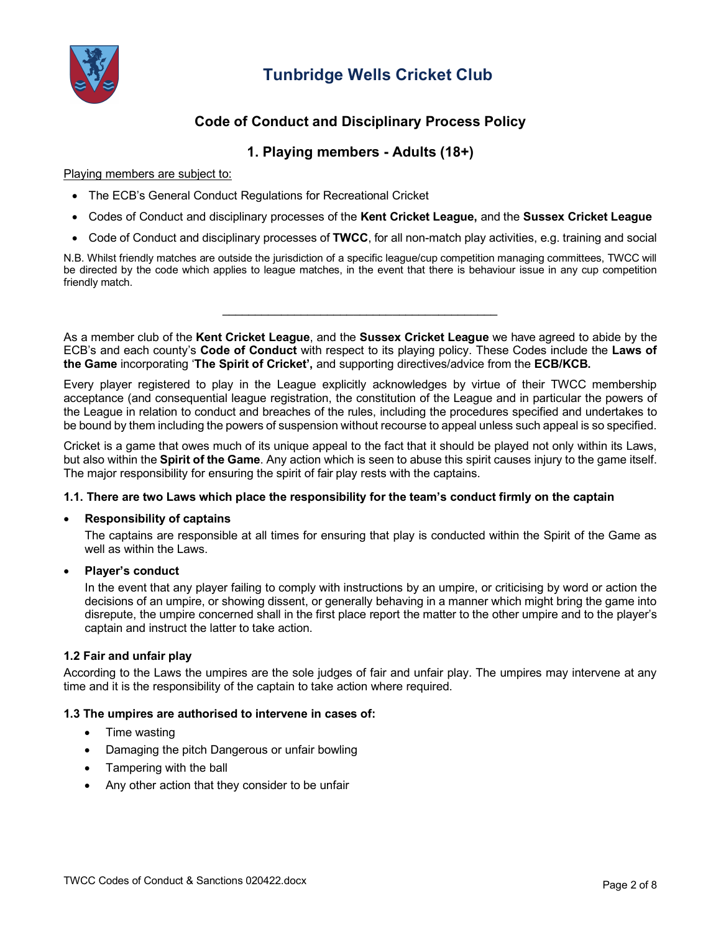

## **Code of Conduct and Disciplinary Process Policy**

### **1. Playing members - Adults (18+)**

Playing members are subject to:

- The ECB's General Conduct Regulations for Recreational Cricket
- Codes of Conduct and disciplinary processes of the **Kent Cricket League,** and the **Sussex Cricket League**
- Code of Conduct and disciplinary processes of **TWCC**, for all non-match play activities, e.g. training and social

N.B. Whilst friendly matches are outside the jurisdiction of a specific league/cup competition managing committees, TWCC will be directed by the code which applies to league matches, in the event that there is behaviour issue in any cup competition friendly match.

 $\overline{\phantom{a}}$  , and the set of the set of the set of the set of the set of the set of the set of the set of the set of the set of the set of the set of the set of the set of the set of the set of the set of the set of the s

As a member club of the **Kent Cricket League**, and the **Sussex Cricket League** we have agreed to abide by the ECB's and each county's **Code of Conduct** with respect to its playing policy. These Codes include the **Laws of the Game** incorporating '**The Spirit of Cricket',** and supporting directives/advice from the **ECB/KCB.**

Every player registered to play in the League explicitly acknowledges by virtue of their TWCC membership acceptance (and consequential league registration, the constitution of the League and in particular the powers of the League in relation to conduct and breaches of the rules, including the procedures specified and undertakes to be bound by them including the powers of suspension without recourse to appeal unless such appeal is so specified.

Cricket is a game that owes much of its unique appeal to the fact that it should be played not only within its Laws, but also within the **Spirit of the Game**. Any action which is seen to abuse this spirit causes injury to the game itself. The major responsibility for ensuring the spirit of fair play rests with the captains.

#### **1.1. There are two Laws which place the responsibility for the team's conduct firmly on the captain**

#### • **Responsibility of captains**

The captains are responsible at all times for ensuring that play is conducted within the Spirit of the Game as well as within the Laws.

#### • **Player's conduct**

In the event that any player failing to comply with instructions by an umpire, or criticising by word or action the decisions of an umpire, or showing dissent, or generally behaving in a manner which might bring the game into disrepute, the umpire concerned shall in the first place report the matter to the other umpire and to the player's captain and instruct the latter to take action.

#### **1.2 Fair and unfair play**

According to the Laws the umpires are the sole judges of fair and unfair play. The umpires may intervene at any time and it is the responsibility of the captain to take action where required.

#### **1.3 The umpires are authorised to intervene in cases of:**

- Time wasting
- Damaging the pitch Dangerous or unfair bowling
- Tampering with the ball
- Any other action that they consider to be unfair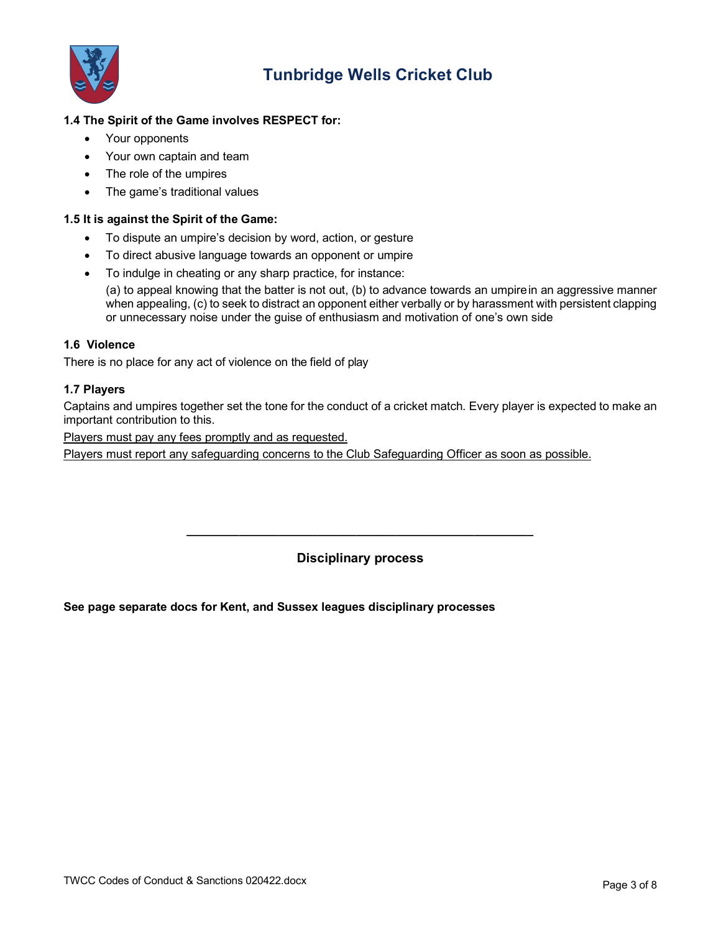

### **1.4 The Spirit of the Game involves RESPECT for:**

- Your opponents
- Your own captain and team
- The role of the umpires
- The game's traditional values

#### **1.5 It is against the Spirit of the Game:**

- To dispute an umpire's decision by word, action, or gesture
- To direct abusive language towards an opponent or umpire
- To indulge in cheating or any sharp practice, for instance:

(a) to appeal knowing that the batter is not out, (b) to advance towards an umpirein an aggressive manner when appealing, (c) to seek to distract an opponent either verbally or by harassment with persistent clapping or unnecessary noise under the guise of enthusiasm and motivation of one's own side

#### **1.6 Violence**

There is no place for any act of violence on the field of play

#### **1.7 Players**

Captains and umpires together set the tone for the conduct of a cricket match. Every player is expected to make an important contribution to this.

Players must pay any fees promptly and as requested.

Players must report any safeguarding concerns to the Club Safeguarding Officer as soon as possible.

**Disciplinary process**

**\_\_\_\_\_\_\_\_\_\_\_\_\_\_\_\_\_\_\_\_\_\_\_\_\_\_\_\_\_\_\_\_\_\_\_\_\_\_\_\_\_\_\_\_\_\_\_\_\_\_\_\_\_**

**See page separate docs for Kent, and Sussex leagues disciplinary processes**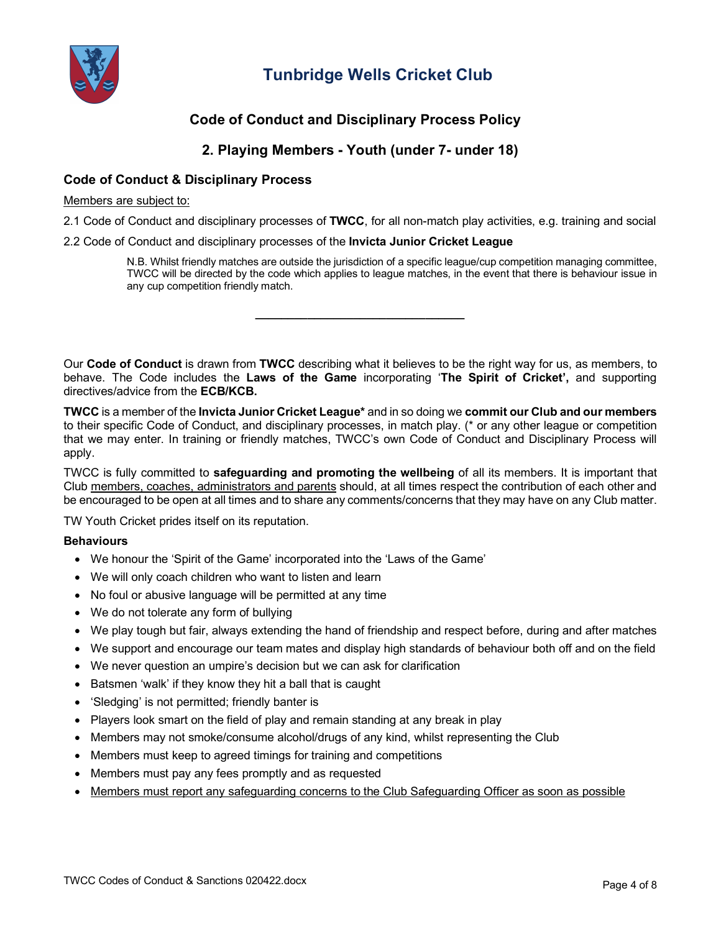

## **Code of Conduct and Disciplinary Process Policy**

### **2. Playing Members - Youth (under 7- under 18)**

### **Code of Conduct & Disciplinary Process**

#### Members are subject to:

2.1 Code of Conduct and disciplinary processes of **TWCC**, for all non-match play activities, e.g. training and social

2.2 Code of Conduct and disciplinary processes of the **Invicta Junior Cricket League**

N.B. Whilst friendly matches are outside the jurisdiction of a specific league/cup competition managing committee, TWCC will be directed by the code which applies to league matches, in the event that there is behaviour issue in any cup competition friendly match.

Our **Code of Conduct** is drawn from **TWCC** describing what it believes to be the right way for us, as members, to behave. The Code includes the **Laws of the Game** incorporating '**The Spirit of Cricket',** and supporting directives/advice from the **ECB/KCB.** 

**\_\_\_\_\_\_\_\_\_\_\_\_\_\_\_\_\_\_\_\_\_\_\_\_\_\_\_\_\_\_\_\_**

**TWCC** is a member of the **Invicta Junior Cricket League\*** and in so doing we **commit our Club and our members** to their specific Code of Conduct, and disciplinary processes, in match play. (\* or any other league or competition that we may enter. In training or friendly matches, TWCC's own Code of Conduct and Disciplinary Process will apply.

TWCC is fully committed to **safeguarding and promoting the wellbeing** of all its members. It is important that Club members, coaches, administrators and parents should, at all times respect the contribution of each other and be encouraged to be open at all times and to share any comments/concerns that they may have on any Club matter.

TW Youth Cricket prides itself on its reputation.

#### **Behaviours**

- We honour the 'Spirit of the Game' incorporated into the 'Laws of the Game'
- We will only coach children who want to listen and learn
- No foul or abusive language will be permitted at any time
- We do not tolerate any form of bullying
- We play tough but fair, always extending the hand of friendship and respect before, during and after matches
- We support and encourage our team mates and display high standards of behaviour both off and on the field
- We never question an umpire's decision but we can ask for clarification
- Batsmen 'walk' if they know they hit a ball that is caught
- 'Sledging' is not permitted; friendly banter is
- Players look smart on the field of play and remain standing at any break in play
- Members may not smoke/consume alcohol/drugs of any kind, whilst representing the Club
- Members must keep to agreed timings for training and competitions
- Members must pay any fees promptly and as requested
- Members must report any safeguarding concerns to the Club Safeguarding Officer as soon as possible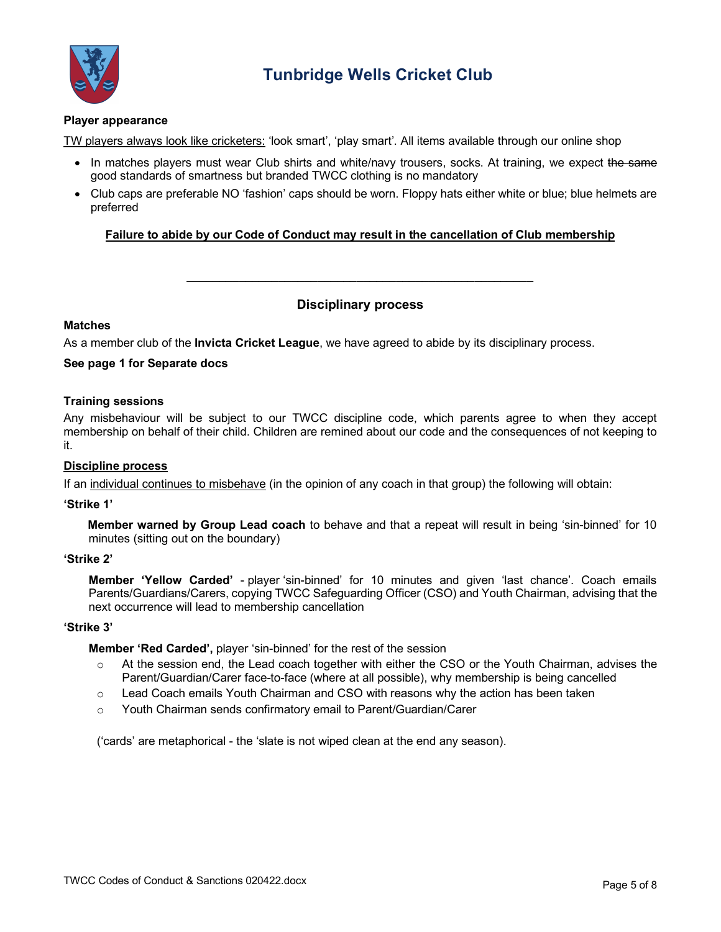

#### **Player appearance**

TW players always look like cricketers: 'look smart', 'play smart'. All items available through our online shop

- In matches players must wear Club shirts and white/navy trousers, socks. At training, we expect the same good standards of smartness but branded TWCC clothing is no mandatory
- Club caps are preferable NO 'fashion' caps should be worn. Floppy hats either white or blue; blue helmets are preferred

#### **Failure to abide by our Code of Conduct may result in the cancellation of Club membership**

### **Disciplinary process**

**\_\_\_\_\_\_\_\_\_\_\_\_\_\_\_\_\_\_\_\_\_\_\_\_\_\_\_\_\_\_\_\_\_\_\_\_\_\_\_\_\_\_\_\_\_\_\_\_\_\_\_\_\_**

#### **Matches**

As a member club of the **Invicta Cricket League**, we have agreed to abide by its disciplinary process.

#### **See page 1 for Separate docs**

#### **Training sessions**

Any misbehaviour will be subject to our TWCC discipline code, which parents agree to when they accept membership on behalf of their child. Children are remined about our code and the consequences of not keeping to it.

#### **Discipline process**

If an individual continues to misbehave (in the opinion of any coach in that group) the following will obtain:

#### **'Strike 1'**

**Member warned by Group Lead coach** to behave and that a repeat will result in being 'sin-binned' for 10 minutes (sitting out on the boundary)

#### **'Strike 2'**

**Member 'Yellow Carded'** - player 'sin-binned' for 10 minutes and given 'last chance'. Coach emails Parents/Guardians/Carers, copying TWCC Safeguarding Officer (CSO) and Youth Chairman, advising that the next occurrence will lead to membership cancellation

#### **'Strike 3'**

**Member 'Red Carded',** player 'sin-binned' for the rest of the session

- o At the session end, the Lead coach together with either the CSO or the Youth Chairman, advises the Parent/Guardian/Carer face-to-face (where at all possible), why membership is being cancelled
- $\circ$  Lead Coach emails Youth Chairman and CSO with reasons why the action has been taken
- o Youth Chairman sends confirmatory email to Parent/Guardian/Carer

('cards' are metaphorical - the 'slate is not wiped clean at the end any season).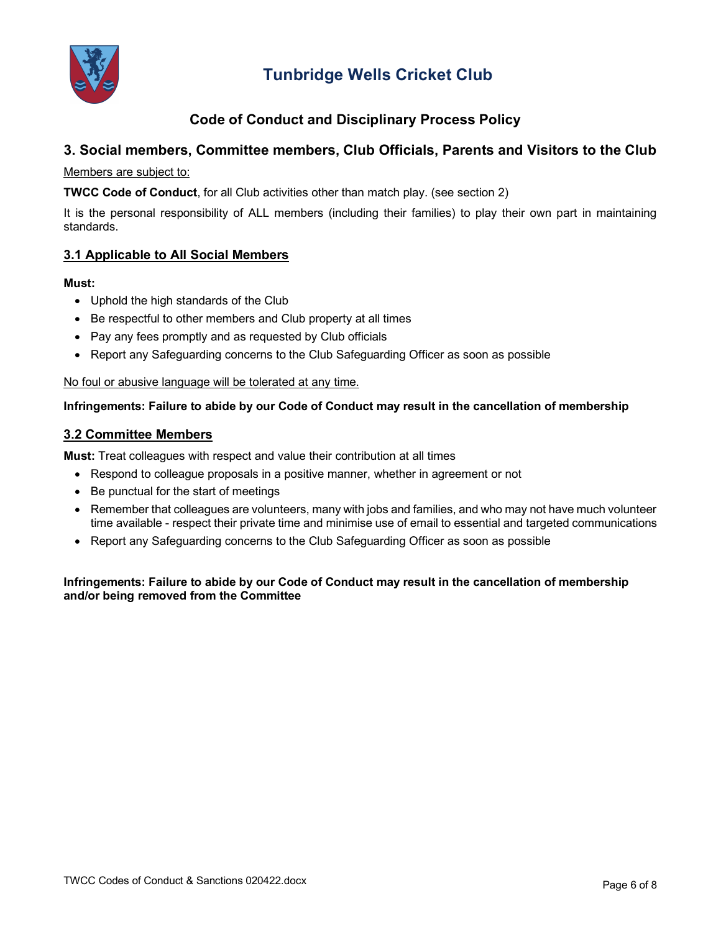

## **Code of Conduct and Disciplinary Process Policy**

## **3. Social members, Committee members, Club Officials, Parents and Visitors to the Club**

### Members are subject to:

**TWCC Code of Conduct**, for all Club activities other than match play. (see section 2)

It is the personal responsibility of ALL members (including their families) to play their own part in maintaining standards.

### **3.1 Applicable to All Social Members**

#### **Must:**

- Uphold the high standards of the Club
- Be respectful to other members and Club property at all times
- Pay any fees promptly and as requested by Club officials
- Report any Safeguarding concerns to the Club Safeguarding Officer as soon as possible

#### No foul or abusive language will be tolerated at any time.

#### **Infringements: Failure to abide by our Code of Conduct may result in the cancellation of membership**

#### **3.2 Committee Members**

**Must:** Treat colleagues with respect and value their contribution at all times

- Respond to colleague proposals in a positive manner, whether in agreement or not
- Be punctual for the start of meetings
- Remember that colleagues are volunteers, many with jobs and families, and who may not have much volunteer time available - respect their private time and minimise use of email to essential and targeted communications
- Report any Safeguarding concerns to the Club Safeguarding Officer as soon as possible

#### **Infringements: Failure to abide by our Code of Conduct may result in the cancellation of membership and/or being removed from the Committee**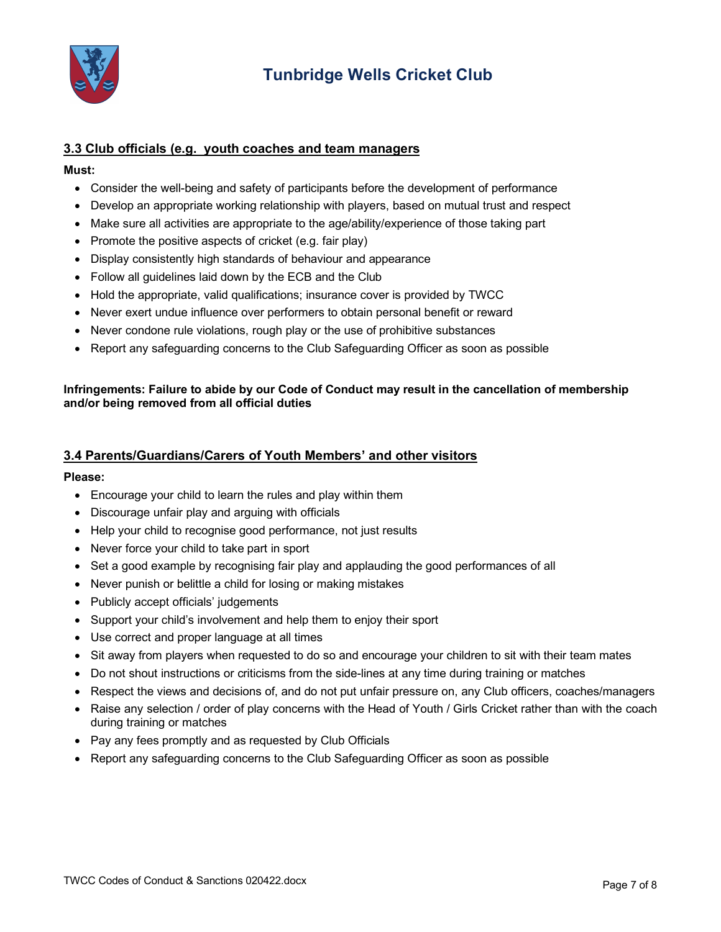

### **3.3 Club officials (e.g. youth coaches and team managers**

#### **Must:**

- Consider the well-being and safety of participants before the development of performance
- Develop an appropriate working relationship with players, based on mutual trust and respect
- Make sure all activities are appropriate to the age/ability/experience of those taking part
- Promote the positive aspects of cricket (e.g. fair play)
- Display consistently high standards of behaviour and appearance
- Follow all guidelines laid down by the ECB and the Club
- Hold the appropriate, valid qualifications; insurance cover is provided by TWCC
- Never exert undue influence over performers to obtain personal benefit or reward
- Never condone rule violations, rough play or the use of prohibitive substances
- Report any safeguarding concerns to the Club Safeguarding Officer as soon as possible

#### **Infringements: Failure to abide by our Code of Conduct may result in the cancellation of membership and/or being removed from all official duties**

#### **3.4 Parents/Guardians/Carers of Youth Members' and other visitors**

#### **Please:**

- Encourage your child to learn the rules and play within them
- Discourage unfair play and arguing with officials
- Help your child to recognise good performance, not just results
- Never force your child to take part in sport
- Set a good example by recognising fair play and applauding the good performances of all
- Never punish or belittle a child for losing or making mistakes
- Publicly accept officials' judgements
- Support your child's involvement and help them to enjoy their sport
- Use correct and proper language at all times
- Sit away from players when requested to do so and encourage your children to sit with their team mates
- Do not shout instructions or criticisms from the side-lines at any time during training or matches
- Respect the views and decisions of, and do not put unfair pressure on, any Club officers, coaches/managers
- Raise any selection / order of play concerns with the Head of Youth / Girls Cricket rather than with the coach during training or matches
- Pay any fees promptly and as requested by Club Officials
- Report any safeguarding concerns to the Club Safeguarding Officer as soon as possible